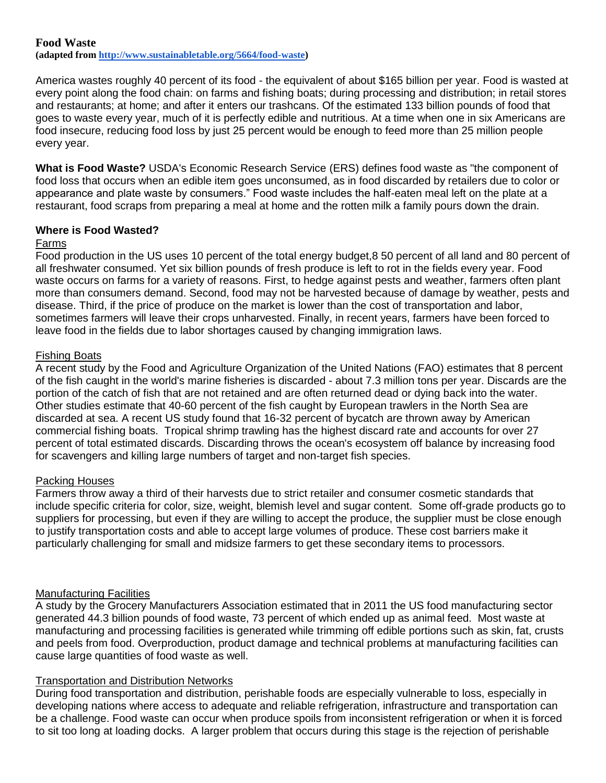# **Food Waste**

**(adapted from [http://www.sustainabletable.org/5664/food-waste\)](http://www.sustainabletable.org/5664/food-waste)**

America wastes roughly 40 percent of its food - the equivalent of about \$165 billion per year. Food is wasted at every point along the food chain: on farms and fishing boats; during processing and distribution; in retail stores and restaurants; at home; and after it enters our trashcans. Of the estimated 133 billion pounds of food that goes to waste every year, much of it is perfectly edible and nutritious. At a time when one in six Americans are food insecure, reducing food loss by just 25 percent would be enough to feed more than 25 million people every year.

**What is Food Waste?** USDA's Economic Research Service (ERS) defines food waste as "the component of food loss that occurs when an edible item goes unconsumed, as in food discarded by retailers due to color or appearance and plate waste by consumers." Food waste includes the half-eaten meal left on the plate at a restaurant, food scraps from preparing a meal at home and the rotten milk a family pours down the drain.

# **Where is Food Wasted?**

### Farms

Food production in the US uses 10 percent of the total energy budget,8 50 percent of all land and 80 percent of all freshwater consumed. Yet six billion pounds of fresh produce is left to rot in the fields every year. Food waste occurs on farms for a variety of reasons. First, to hedge against pests and weather, farmers often plant more than consumers demand. Second, food may not be harvested because of damage by weather, pests and disease. Third, if the price of produce on the market is lower than the cost of transportation and labor, sometimes farmers will leave their crops unharvested. Finally, in recent years, farmers have been forced to leave food in the fields due to labor shortages caused by changing immigration laws.

# Fishing Boats

A recent study by the Food and Agriculture Organization of the United Nations (FAO) estimates that 8 percent of the fish caught in the world's marine fisheries is discarded - about 7.3 million tons per year. Discards are the portion of the catch of fish that are not retained and are often returned dead or dying back into the water. Other studies estimate that 40-60 percent of the fish caught by European trawlers in the North Sea are discarded at sea. A recent US study found that 16-32 percent of bycatch are thrown away by American commercial fishing boats. Tropical shrimp trawling has the highest discard rate and accounts for over 27 percent of total estimated discards. Discarding throws the ocean's ecosystem off balance by increasing food for scavengers and killing large numbers of target and non-target fish species.

#### Packing Houses

Farmers throw away a third of their harvests due to strict retailer and consumer cosmetic standards that include specific criteria for color, size, weight, blemish level and sugar content. Some off-grade products go to suppliers for processing, but even if they are willing to accept the produce, the supplier must be close enough to justify transportation costs and able to accept large volumes of produce. These cost barriers make it particularly challenging for small and midsize farmers to get these secondary items to processors.

#### Manufacturing Facilities

A study by the Grocery Manufacturers Association estimated that in 2011 the US food manufacturing sector generated 44.3 billion pounds of food waste, 73 percent of which ended up as animal feed. Most waste at manufacturing and processing facilities is generated while trimming off edible portions such as skin, fat, crusts and peels from food. Overproduction, product damage and technical problems at manufacturing facilities can cause large quantities of food waste as well.

# Transportation and Distribution Networks

During food transportation and distribution, perishable foods are especially vulnerable to loss, especially in developing nations where access to adequate and reliable refrigeration, infrastructure and transportation can be a challenge. Food waste can occur when produce spoils from inconsistent refrigeration or when it is forced to sit too long at loading docks. A larger problem that occurs during this stage is the rejection of perishable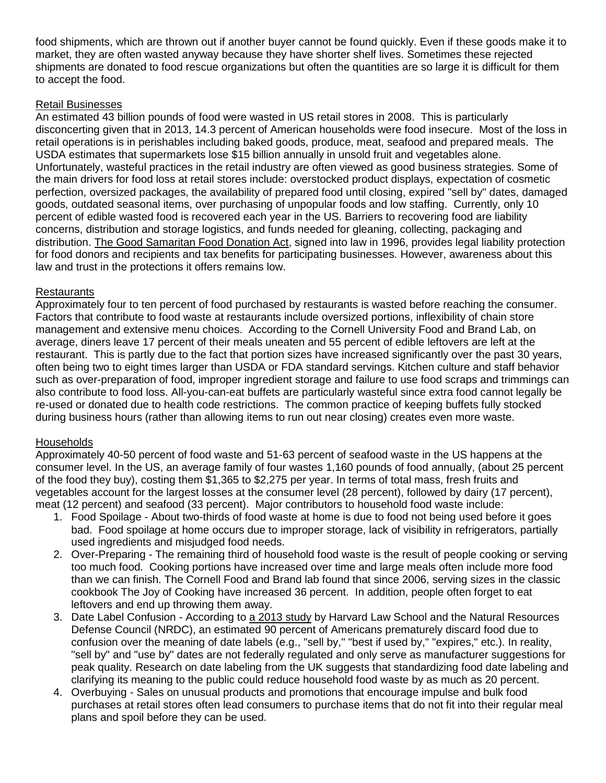food shipments, which are thrown out if another buyer cannot be found quickly. Even if these goods make it to market, they are often wasted anyway because they have shorter shelf lives. Sometimes these rejected shipments are donated to food rescue organizations but often the quantities are so large it is difficult for them to accept the food.

## Retail Businesses

An estimated 43 billion pounds of food were wasted in US retail stores in 2008. This is particularly disconcerting given that in 2013, 14.3 percent of American households were food insecure. Most of the loss in retail operations is in perishables including baked goods, produce, meat, seafood and prepared meals. The USDA estimates that supermarkets lose \$15 billion annually in unsold fruit and vegetables alone. Unfortunately, wasteful practices in the retail industry are often viewed as good business strategies. Some of the main drivers for food loss at retail stores include: overstocked product displays, expectation of cosmetic perfection, oversized packages, the availability of prepared food until closing, expired "sell by" dates, damaged goods, outdated seasonal items, over purchasing of unpopular foods and low staffing. Currently, only 10 percent of edible wasted food is recovered each year in the US. Barriers to recovering food are liability concerns, distribution and storage logistics, and funds needed for gleaning, collecting, packaging and distribution. [The Good Samaritan Food Donation Act,](http://www.feedingamerica.org/ways-to-give/give-food/become-a-product-partner/protecting-our-food-partners.html) signed into law in 1996, provides legal liability protection for food donors and recipients and tax benefits for participating businesses. However, awareness about this law and trust in the protections it offers remains low.

### **Restaurants**

Approximately four to ten percent of food purchased by restaurants is wasted before reaching the consumer. Factors that contribute to food waste at restaurants include oversized portions, inflexibility of chain store management and extensive menu choices. According to the Cornell University Food and Brand Lab, on average, diners leave 17 percent of their meals uneaten and 55 percent of edible leftovers are left at the restaurant. This is partly due to the fact that portion sizes have increased significantly over the past 30 years, often being two to eight times larger than USDA or FDA standard servings. Kitchen culture and staff behavior such as over-preparation of food, improper ingredient storage and failure to use food scraps and trimmings can also contribute to food loss. All-you-can-eat buffets are particularly wasteful since extra food cannot legally be re-used or donated due to health code restrictions. The common practice of keeping buffets fully stocked during business hours (rather than allowing items to run out near closing) creates even more waste.

# **Households**

Approximately 40-50 percent of food waste and 51-63 percent of seafood waste in the US happens at the consumer level. In the US, an average family of four wastes 1,160 pounds of food annually, (about 25 percent of the food they buy), costing them \$1,365 to \$2,275 per year. In terms of total mass, fresh fruits and vegetables account for the largest losses at the consumer level (28 percent), followed by dairy (17 percent), meat (12 percent) and seafood (33 percent). Major contributors to household food waste include:

- 1. Food Spoilage About two-thirds of food waste at home is due to food not being used before it goes bad. Food spoilage at home occurs due to improper storage, lack of visibility in refrigerators, partially used ingredients and misjudged food needs.
- 2. Over-Preparing The remaining third of household food waste is the result of people cooking or serving too much food. Cooking portions have increased over time and large meals often include more food than we can finish. The Cornell Food and Brand lab found that since 2006, serving sizes in the classic cookbook The Joy of Cooking have increased 36 percent. In addition, people often forget to eat leftovers and end up throwing them away.
- 3. Date Label Confusion According to [a 2013 study](http://www.gracelinks.org/blog/3163/food-date-labels-consumer-safeguard-or-confusing-waste-of-f) by Harvard Law School and the Natural Resources Defense Council (NRDC), an estimated 90 percent of Americans prematurely discard food due to confusion over the meaning of date labels (e.g., "sell by," "best if used by," "expires," etc.). In reality, "sell by" and "use by" dates are not federally regulated and only serve as manufacturer suggestions for peak quality. Research on date labeling from the UK suggests that standardizing food date labeling and clarifying its meaning to the public could reduce household food waste by as much as 20 percent.
- 4. Overbuying Sales on unusual products and promotions that encourage impulse and bulk food purchases at retail stores often lead consumers to purchase items that do not fit into their regular meal plans and spoil before they can be used.